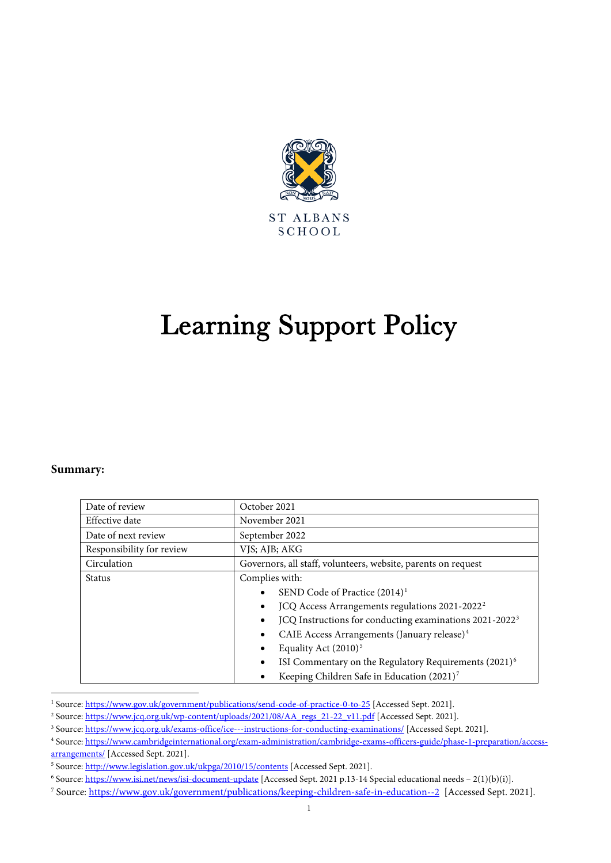

# Learning Support Policy

#### **Summary:**

| Date of review            | October 2021                                                                                                                                                                                                                                                                                                                                                                                                                                                                           |
|---------------------------|----------------------------------------------------------------------------------------------------------------------------------------------------------------------------------------------------------------------------------------------------------------------------------------------------------------------------------------------------------------------------------------------------------------------------------------------------------------------------------------|
| Effective date            | November 2021                                                                                                                                                                                                                                                                                                                                                                                                                                                                          |
| Date of next review       | September 2022                                                                                                                                                                                                                                                                                                                                                                                                                                                                         |
| Responsibility for review | VJS; AJB; AKG                                                                                                                                                                                                                                                                                                                                                                                                                                                                          |
| Circulation               | Governors, all staff, volunteers, website, parents on request                                                                                                                                                                                                                                                                                                                                                                                                                          |
| <b>Status</b>             | Complies with:<br>SEND Code of Practice (2014) <sup>1</sup><br>$\bullet$<br>JCQ Access Arrangements regulations 2021-2022 <sup>2</sup><br>$\bullet$<br>JCQ Instructions for conducting examinations 2021-2022 <sup>3</sup><br>$\bullet$<br>CAIE Access Arrangements (January release) <sup>4</sup><br>$\bullet$<br>Equality Act $(2010)^5$<br>ISI Commentary on the Regulatory Requirements (2021) <sup>6</sup><br>$\bullet$<br>Keeping Children Safe in Education (2021) <sup>7</sup> |

<span id="page-0-0"></span><sup>&</sup>lt;sup>1</sup> Source[: https://www.gov.uk/government/publications/send-code-of-practice-0-to-25](https://www.gov.uk/government/publications/send-code-of-practice-0-to-25) [Accessed Sept. 2021].

<span id="page-0-1"></span><sup>&</sup>lt;sup>2</sup> Source[: https://www.jcq.org.uk/wp-content/uploads/2021/08/AA\\_regs\\_21-22\\_v11.pdf](https://www.jcq.org.uk/wp-content/uploads/2021/08/AA_regs_21-22_v11.pdf) [Accessed Sept. 2021].

<span id="page-0-2"></span><sup>&</sup>lt;sup>3</sup> Source[: https://www.jcq.org.uk/exams-office/ice---instructions-for-conducting-examinations/](https://www.jcq.org.uk/exams-office/ice---instructions-for-conducting-examinations/) [Accessed Sept. 2021].

<span id="page-0-3"></span><sup>4</sup> Source[: https://www.cambridgeinternational.org/exam-administration/cambridge-exams-officers-guide/phase-1-preparation/access](https://www.cambridgeinternational.org/exam-administration/cambridge-exams-officers-guide/phase-1-preparation/access-arrangements/)[arrangements/](https://www.cambridgeinternational.org/exam-administration/cambridge-exams-officers-guide/phase-1-preparation/access-arrangements/) [Accessed Sept. 2021].

<span id="page-0-4"></span><sup>&</sup>lt;sup>5</sup> Source[: http://www.legislation.gov.uk/ukpga/2010/15/contents](http://www.legislation.gov.uk/ukpga/2010/15/contents) [Accessed Sept. 2021].

<span id="page-0-5"></span><sup>&</sup>lt;sup>6</sup> Source[: https://www.isi.net/news/isi-document-update](https://www.isi.net/news/isi-document-update) [Accessed Sept. 2021 p.13-14 Special educational needs – 2(1)(b)(i)].

<span id="page-0-6"></span><sup>7</sup> Source[: https://www.gov.uk/government/publications/keeping-children-safe-in-education--2](https://www.gov.uk/government/publications/keeping-children-safe-in-education--2) [Accessed Sept. 2021].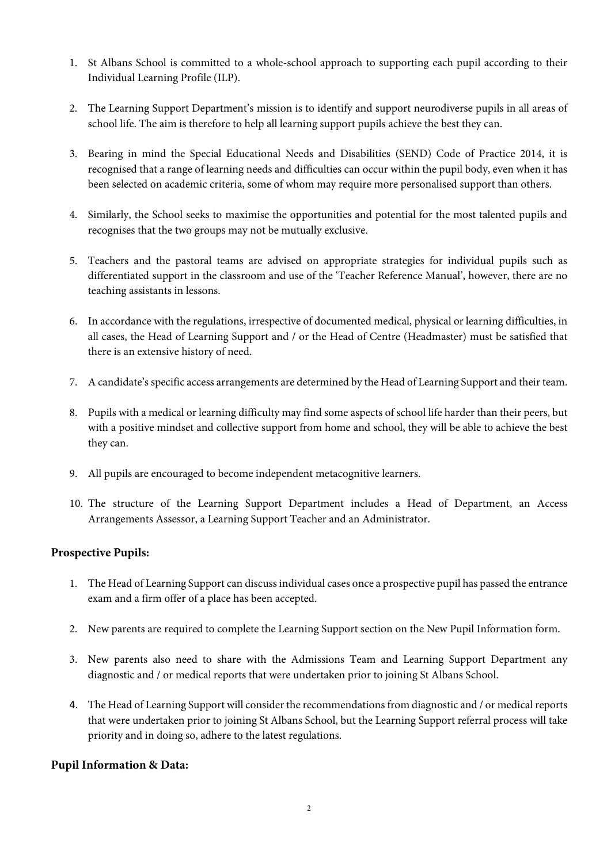- 1. St Albans School is committed to a whole-school approach to supporting each pupil according to their Individual Learning Profile (ILP).
- 2. The Learning Support Department's mission is to identify and support neurodiverse pupils in all areas of school life. The aim is therefore to help all learning support pupils achieve the best they can.
- 3. Bearing in mind the Special Educational Needs and Disabilities (SEND) Code of Practice 2014, it is recognised that a range of learning needs and difficulties can occur within the pupil body, even when it has been selected on academic criteria, some of whom may require more personalised support than others.
- 4. Similarly, the School seeks to maximise the opportunities and potential for the most talented pupils and recognises that the two groups may not be mutually exclusive.
- 5. Teachers and the pastoral teams are advised on appropriate strategies for individual pupils such as differentiated support in the classroom and use of the 'Teacher Reference Manual', however, there are no teaching assistants in lessons.
- 6. In accordance with the regulations, irrespective of documented medical, physical or learning difficulties, in all cases, the Head of Learning Support and / or the Head of Centre (Headmaster) must be satisfied that there is an extensive history of need.
- 7. A candidate's specific access arrangements are determined by the Head of Learning Support and their team.
- 8. Pupils with a medical or learning difficulty may find some aspects of school life harder than their peers, but with a positive mindset and collective support from home and school, they will be able to achieve the best they can.
- 9. All pupils are encouraged to become independent metacognitive learners.
- 10. The structure of the Learning Support Department includes a Head of Department, an Access Arrangements Assessor, a Learning Support Teacher and an Administrator.

## **Prospective Pupils:**

- 1. The Head of Learning Support can discuss individual cases once a prospective pupil has passed the entrance exam and a firm offer of a place has been accepted.
- 2. New parents are required to complete the Learning Support section on the New Pupil Information form.
- 3. New parents also need to share with the Admissions Team and Learning Support Department any diagnostic and / or medical reports that were undertaken prior to joining St Albans School.
- 4. The Head of Learning Support will consider the recommendations from diagnostic and / or medical reports that were undertaken prior to joining St Albans School, but the Learning Support referral process will take priority and in doing so, adhere to the latest regulations.

## **Pupil Information & Data:**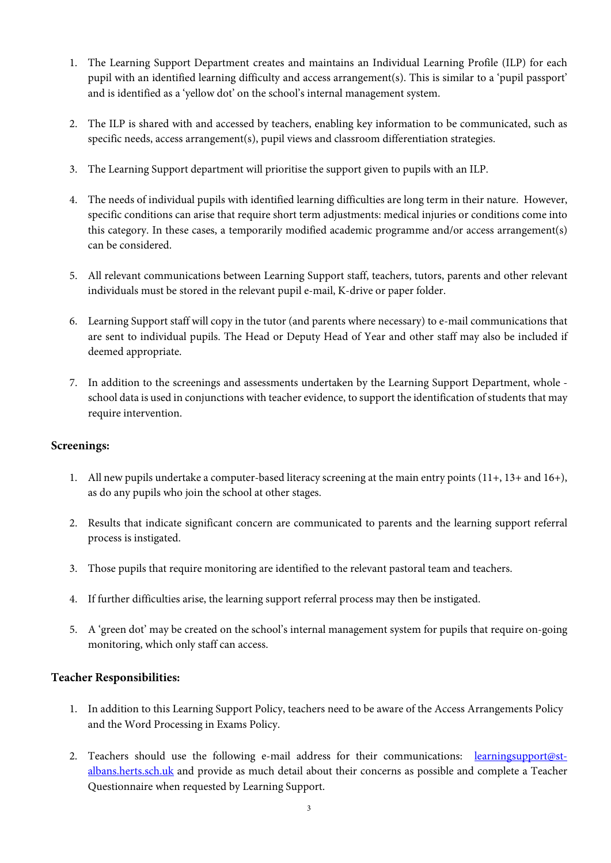- 1. The Learning Support Department creates and maintains an Individual Learning Profile (ILP) for each pupil with an identified learning difficulty and access arrangement(s). This is similar to a 'pupil passport' and is identified as a 'yellow dot' on the school's internal management system.
- 2. The ILP is shared with and accessed by teachers, enabling key information to be communicated, such as specific needs, access arrangement(s), pupil views and classroom differentiation strategies.
- 3. The Learning Support department will prioritise the support given to pupils with an ILP.
- 4. The needs of individual pupils with identified learning difficulties are long term in their nature. However, specific conditions can arise that require short term adjustments: medical injuries or conditions come into this category. In these cases, a temporarily modified academic programme and/or access arrangement(s) can be considered.
- 5. All relevant communications between Learning Support staff, teachers, tutors, parents and other relevant individuals must be stored in the relevant pupil e-mail, K-drive or paper folder.
- 6. Learning Support staff will copy in the tutor (and parents where necessary) to e-mail communications that are sent to individual pupils. The Head or Deputy Head of Year and other staff may also be included if deemed appropriate.
- 7. In addition to the screenings and assessments undertaken by the Learning Support Department, whole school data is used in conjunctions with teacher evidence, to support the identification of students that may require intervention.

#### **Screenings:**

- 1. All new pupils undertake a computer-based literacy screening at the main entry points (11+, 13+ and 16+), as do any pupils who join the school at other stages.
- 2. Results that indicate significant concern are communicated to parents and the learning support referral process is instigated.
- 3. Those pupils that require monitoring are identified to the relevant pastoral team and teachers.
- 4. If further difficulties arise, the learning support referral process may then be instigated.
- 5. A 'green dot' may be created on the school's internal management system for pupils that require on-going monitoring, which only staff can access.

#### **Teacher Responsibilities:**

- 1. In addition to this Learning Support Policy, teachers need to be aware of the Access Arrangements Policy and the Word Processing in Exams Policy.
- 2. Teachers should use the following e-mail address for their communications: [learningsupport@st](mailto:learningsupport@st-albans.herts.sch.uk)[albans.herts.sch.uk](mailto:learningsupport@st-albans.herts.sch.uk) and provide as much detail about their concerns as possible and complete a Teacher Questionnaire when requested by Learning Support.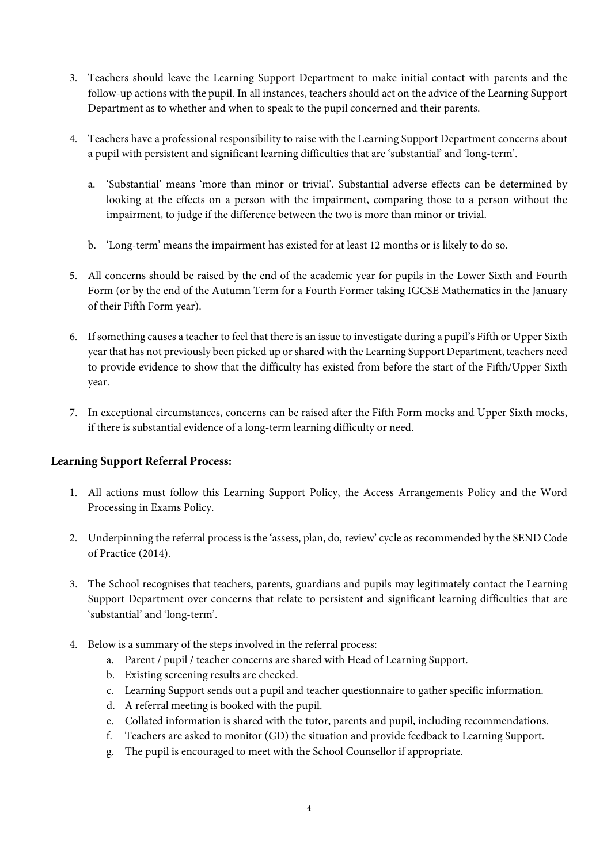- 3. Teachers should leave the Learning Support Department to make initial contact with parents and the follow-up actions with the pupil. In all instances, teachers should act on the advice of the Learning Support Department as to whether and when to speak to the pupil concerned and their parents.
- 4. Teachers have a professional responsibility to raise with the Learning Support Department concerns about a pupil with persistent and significant learning difficulties that are 'substantial' and 'long-term'.
	- a. 'Substantial' means 'more than minor or trivial'. Substantial adverse effects can be determined by looking at the effects on a person with the impairment, comparing those to a person without the impairment, to judge if the difference between the two is more than minor or trivial.
	- b. 'Long-term' means the impairment has existed for at least 12 months or is likely to do so.
- 5. All concerns should be raised by the end of the academic year for pupils in the Lower Sixth and Fourth Form (or by the end of the Autumn Term for a Fourth Former taking IGCSE Mathematics in the January of their Fifth Form year).
- 6. If something causes a teacher to feel that there is an issue to investigate during a pupil's Fifth or Upper Sixth year that has not previously been picked up or shared with the Learning Support Department, teachers need to provide evidence to show that the difficulty has existed from before the start of the Fifth/Upper Sixth year.
- 7. In exceptional circumstances, concerns can be raised after the Fifth Form mocks and Upper Sixth mocks, if there is substantial evidence of a long-term learning difficulty or need.

## **Learning Support Referral Process:**

- 1. All actions must follow this Learning Support Policy, the Access Arrangements Policy and the Word Processing in Exams Policy.
- 2. Underpinning the referral process is the 'assess, plan, do, review' cycle as recommended by the SEND Code of Practice (2014).
- 3. The School recognises that teachers, parents, guardians and pupils may legitimately contact the Learning Support Department over concerns that relate to persistent and significant learning difficulties that are 'substantial' and 'long-term'.
- 4. Below is a summary of the steps involved in the referral process:
	- a. Parent / pupil / teacher concerns are shared with Head of Learning Support.
	- b. Existing screening results are checked.
	- c. Learning Support sends out a pupil and teacher questionnaire to gather specific information.
	- d. A referral meeting is booked with the pupil.
	- e. Collated information is shared with the tutor, parents and pupil, including recommendations.
	- f. Teachers are asked to monitor (GD) the situation and provide feedback to Learning Support.
	- g. The pupil is encouraged to meet with the School Counsellor if appropriate.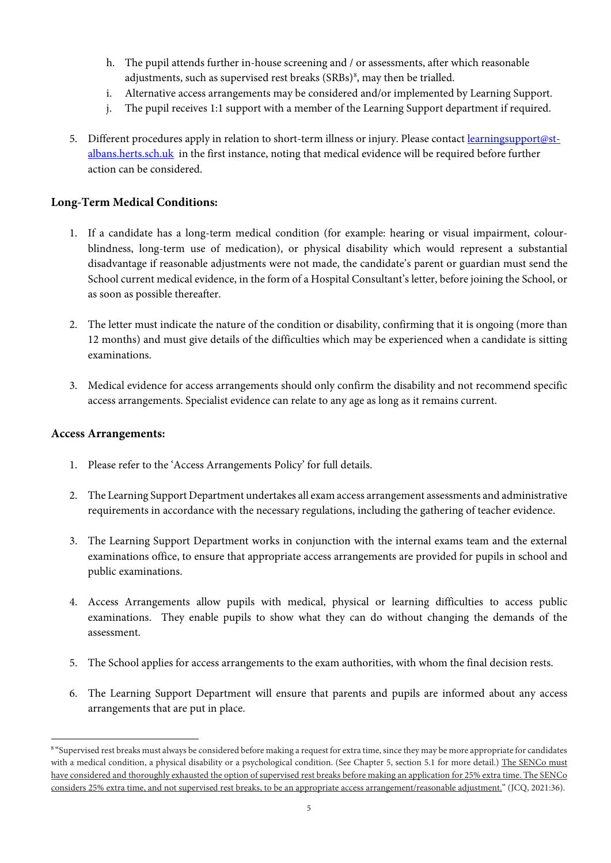- h. The pupil attends further in-house screening and / or assessments, after which reasonable adjustments, such as supervised rest breaks (SRBs) $^{\rm 8}$  $^{\rm 8}$  $^{\rm 8}$ , may then be trialled.
- i. Alternative access arrangements may be considered and/or implemented by Learning Support.
- j. The pupil receives 1:1 support with a member of the Learning Support department if required.
- 5. Different procedures apply in relation to short-term illness or injury. Please contac[t learningsupport@st](mailto:learningsupport@st-albans.herts.sch.uk)[albans.herts.sch.uk](mailto:learningsupport@st-albans.herts.sch.uk) in the first instance, noting that medical evidence will be required before further action can be considered.

### **Long-Term Medical Conditions:**

- 1. If a candidate has a long-term medical condition (for example: hearing or visual impairment, colourblindness, long-term use of medication), or physical disability which would represent a substantial disadvantage if reasonable adjustments were not made, the candidate's parent or guardian must send the School current medical evidence, in the form of a Hospital Consultant's letter, before joining the School, or as soon as possible thereafter.
- 2. The letter must indicate the nature of the condition or disability, confirming that it is ongoing (more than 12 months) and must give details of the difficulties which may be experienced when a candidate is sitting examinations.
- 3. Medical evidence for access arrangements should only confirm the disability and not recommend specific access arrangements. Specialist evidence can relate to any age as long as it remains current.

#### **Access Arrangements:**

- 1. Please refer to the 'Access Arrangements Policy' for full details.
- 2. The Learning Support Department undertakes all exam access arrangement assessments and administrative requirements in accordance with the necessary regulations, including the gathering of teacher evidence.
- 3. The Learning Support Department works in conjunction with the internal exams team and the external examinations office, to ensure that appropriate access arrangements are provided for pupils in school and public examinations.
- 4. Access Arrangements allow pupils with medical, physical or learning difficulties to access public examinations. They enable pupils to show what they can do without changing the demands of the assessment.
- 5. The School applies for access arrangements to the exam authorities, with whom the final decision rests.
- 6. The Learning Support Department will ensure that parents and pupils are informed about any access arrangements that are put in place.

<span id="page-4-0"></span><sup>&</sup>lt;sup>8</sup> "Supervised rest breaks must always be considered before making a request for extra time, since they may be more appropriate for candidates with a medical condition, a physical disability or a psychological condition. (See Chapter 5, section 5.1 for more detail.) The SENCo must have considered and thoroughly exhausted the option of supervised rest breaks before making an application for 25% extra time. The SENCo considers 25% extra time, and not supervised rest breaks, to be an appropriate access arrangement/reasonable adjustment." (JCQ, 2021:36).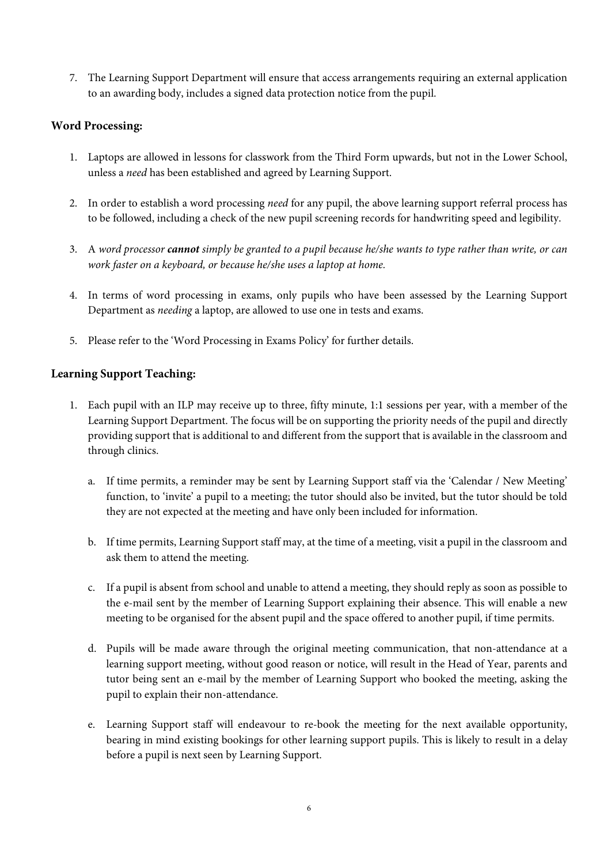7. The Learning Support Department will ensure that access arrangements requiring an external application to an awarding body, includes a signed data protection notice from the pupil.

## **Word Processing:**

- 1. Laptops are allowed in lessons for classwork from the Third Form upwards, but not in the Lower School, unless a *need* has been established and agreed by Learning Support.
- 2. In order to establish a word processing *need* for any pupil, the above learning support referral process has to be followed, including a check of the new pupil screening records for handwriting speed and legibility.
- 3. A *word processor cannot simply be granted to a pupil because he/she wants to type rather than write, or can work faster on a keyboard, or because he/she uses a laptop at home.*
- 4. In terms of word processing in exams, only pupils who have been assessed by the Learning Support Department as *needing* a laptop, are allowed to use one in tests and exams.
- 5. Please refer to the 'Word Processing in Exams Policy' for further details.

## **Learning Support Teaching:**

- 1. Each pupil with an ILP may receive up to three, fifty minute, 1:1 sessions per year, with a member of the Learning Support Department. The focus will be on supporting the priority needs of the pupil and directly providing support that is additional to and different from the support that is available in the classroom and through clinics.
	- a. If time permits, a reminder may be sent by Learning Support staff via the 'Calendar / New Meeting' function, to 'invite' a pupil to a meeting; the tutor should also be invited, but the tutor should be told they are not expected at the meeting and have only been included for information.
	- b. If time permits, Learning Support staff may, at the time of a meeting, visit a pupil in the classroom and ask them to attend the meeting.
	- c. If a pupil is absent from school and unable to attend a meeting, they should reply as soon as possible to the e-mail sent by the member of Learning Support explaining their absence. This will enable a new meeting to be organised for the absent pupil and the space offered to another pupil, if time permits.
	- d. Pupils will be made aware through the original meeting communication, that non-attendance at a learning support meeting, without good reason or notice, will result in the Head of Year, parents and tutor being sent an e-mail by the member of Learning Support who booked the meeting, asking the pupil to explain their non-attendance.
	- e. Learning Support staff will endeavour to re-book the meeting for the next available opportunity, bearing in mind existing bookings for other learning support pupils. This is likely to result in a delay before a pupil is next seen by Learning Support.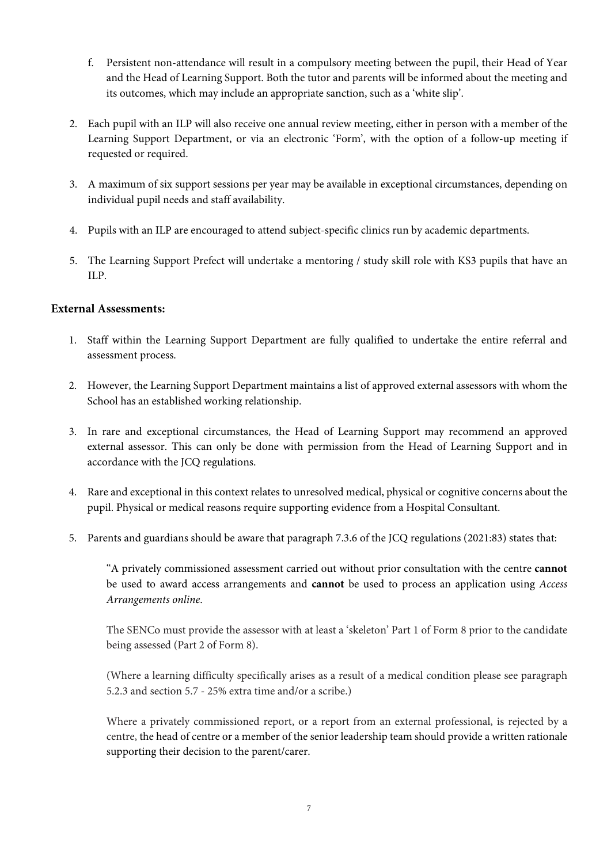- f. Persistent non-attendance will result in a compulsory meeting between the pupil, their Head of Year and the Head of Learning Support. Both the tutor and parents will be informed about the meeting and its outcomes, which may include an appropriate sanction, such as a 'white slip'.
- 2. Each pupil with an ILP will also receive one annual review meeting, either in person with a member of the Learning Support Department, or via an electronic 'Form', with the option of a follow-up meeting if requested or required.
- 3. A maximum of six support sessions per year may be available in exceptional circumstances, depending on individual pupil needs and staff availability.
- 4. Pupils with an ILP are encouraged to attend subject-specific clinics run by academic departments.
- 5. The Learning Support Prefect will undertake a mentoring / study skill role with KS3 pupils that have an ILP.

### **External Assessments:**

- 1. Staff within the Learning Support Department are fully qualified to undertake the entire referral and assessment process.
- 2. However, the Learning Support Department maintains a list of approved external assessors with whom the School has an established working relationship.
- 3. In rare and exceptional circumstances, the Head of Learning Support may recommend an approved external assessor. This can only be done with permission from the Head of Learning Support and in accordance with the JCQ regulations.
- 4. Rare and exceptional in this context relates to unresolved medical, physical or cognitive concerns about the pupil. Physical or medical reasons require supporting evidence from a Hospital Consultant.
- 5. Parents and guardians should be aware that paragraph 7.3.6 of the JCQ regulations (2021:83) states that:

"A privately commissioned assessment carried out without prior consultation with the centre **cannot** be used to award access arrangements and **cannot** be used to process an application using *Access Arrangements online*.

The SENCo must provide the assessor with at least a 'skeleton' Part 1 of Form 8 prior to the candidate being assessed (Part 2 of Form 8).

(Where a learning difficulty specifically arises as a result of a medical condition please see paragraph 5.2.3 and section 5.7 - 25% extra time and/or a scribe.)

Where a privately commissioned report, or a report from an external professional, is rejected by a centre, the head of centre or a member of the senior leadership team should provide a written rationale supporting their decision to the parent/carer.